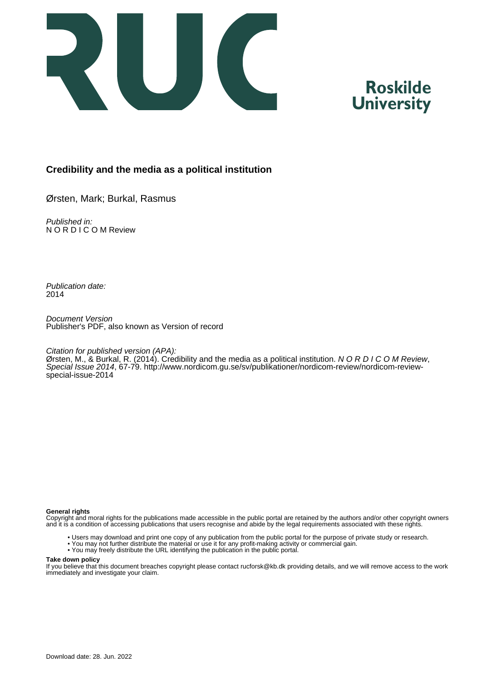

# **Roskilde University**

# **Credibility and the media as a political institution**

Ørsten, Mark; Burkal, Rasmus

Published in: N O R D I C O M Review

Publication date: 2014

Document Version Publisher's PDF, also known as Version of record

## Citation for published version (APA):

Ørsten, M., & Burkal, R. (2014). Credibility and the media as a political institution. N O R D I C O M Review, Special Issue 2014, 67-79. [http://www.nordicom.gu.se/sv/publikationer/nordicom-review/nordicom-review](http://www.nordicom.gu.se/sv/publikationer/nordicom-review/nordicom-review-special-issue-2014)[special-issue-2014](http://www.nordicom.gu.se/sv/publikationer/nordicom-review/nordicom-review-special-issue-2014)

#### **General rights**

Copyright and moral rights for the publications made accessible in the public portal are retained by the authors and/or other copyright owners and it is a condition of accessing publications that users recognise and abide by the legal requirements associated with these rights.

- Users may download and print one copy of any publication from the public portal for the purpose of private study or research.
- You may not further distribute the material or use it for any profit-making activity or commercial gain.
- You may freely distribute the URL identifying the publication in the public portal.

#### **Take down policy**

If you believe that this document breaches copyright please contact rucforsk@kb.dk providing details, and we will remove access to the work immediately and investigate your claim.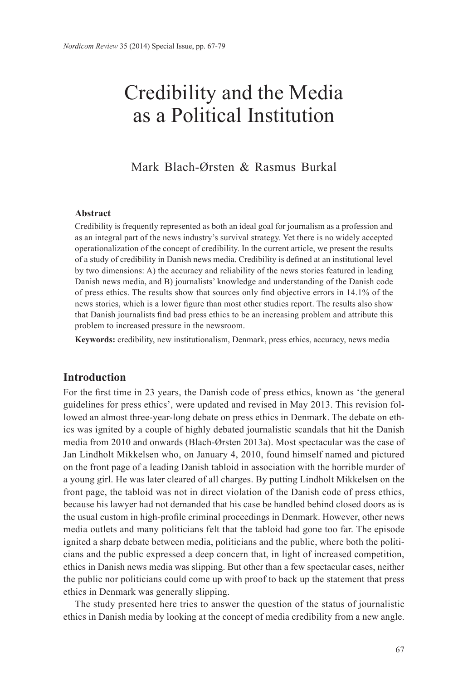# Credibility and the Media as a Political Institution

Mark Blach-Ørsten & Rasmus Burkal

## **Abstract**

Credibility is frequently represented as both an ideal goal for journalism as a profession and as an integral part of the news industry's survival strategy. Yet there is no widely accepted operationalization of the concept of credibility. In the current article, we present the results of a study of credibility in Danish news media. Credibility is defined at an institutional level by two dimensions: A) the accuracy and reliability of the news stories featured in leading Danish news media, and B) journalists' knowledge and understanding of the Danish code of press ethics. The results show that sources only find objective errors in 14.1% of the news stories, which is a lower figure than most other studies report. The results also show that Danish journalists find bad press ethics to be an increasing problem and attribute this problem to increased pressure in the newsroom.

**Keywords:** credibility, new institutionalism, Denmark, press ethics, accuracy, news media

# **Introduction**

For the first time in 23 years, the Danish code of press ethics, known as 'the general guidelines for press ethics', were updated and revised in May 2013. This revision followed an almost three-year-long debate on press ethics in Denmark. The debate on ethics was ignited by a couple of highly debated journalistic scandals that hit the Danish media from 2010 and onwards (Blach-Ørsten 2013a). Most spectacular was the case of Jan Lindholt Mikkelsen who, on January 4, 2010, found himself named and pictured on the front page of a leading Danish tabloid in association with the horrible murder of a young girl. He was later cleared of all charges. By putting Lindholt Mikkelsen on the front page, the tabloid was not in direct violation of the Danish code of press ethics, because his lawyer had not demanded that his case be handled behind closed doors as is the usual custom in high-profile criminal proceedings in Denmark. However, other news media outlets and many politicians felt that the tabloid had gone too far. The episode ignited a sharp debate between media, politicians and the public, where both the politicians and the public expressed a deep concern that, in light of increased competition, ethics in Danish news media was slipping. But other than a few spectacular cases, neither the public nor politicians could come up with proof to back up the statement that press ethics in Denmark was generally slipping.

The study presented here tries to answer the question of the status of journalistic ethics in Danish media by looking at the concept of media credibility from a new angle.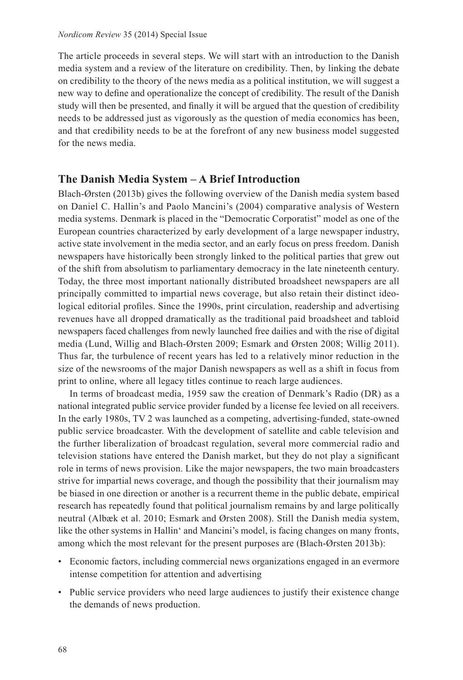The article proceeds in several steps. We will start with an introduction to the Danish media system and a review of the literature on credibility. Then, by linking the debate on credibility to the theory of the news media as a political institution, we will suggest a new way to define and operationalize the concept of credibility. The result of the Danish study will then be presented, and finally it will be argued that the question of credibility needs to be addressed just as vigorously as the question of media economics has been, and that credibility needs to be at the forefront of any new business model suggested for the news media.

# **The Danish Media System – A Brief Introduction**

Blach-Ørsten (2013b) gives the following overview of the Danish media system based on Daniel C. Hallin's and Paolo Mancini's (2004) comparative analysis of Western media systems. Denmark is placed in the "Democratic Corporatist" model as one of the European countries characterized by early development of a large newspaper industry, active state involvement in the media sector, and an early focus on press freedom. Danish newspapers have historically been strongly linked to the political parties that grew out of the shift from absolutism to parliamentary democracy in the late nineteenth century. Today, the three most important nationally distributed broadsheet newspapers are all principally committed to impartial news coverage, but also retain their distinct ideological editorial profiles. Since the 1990s, print circulation, readership and advertising revenues have all dropped dramatically as the traditional paid broadsheet and tabloid newspapers faced challenges from newly launched free dailies and with the rise of digital media (Lund, Willig and Blach-Ørsten 2009; Esmark and Ørsten 2008; Willig 2011). Thus far, the turbulence of recent years has led to a relatively minor reduction in the size of the newsrooms of the major Danish newspapers as well as a shift in focus from print to online, where all legacy titles continue to reach large audiences.

In terms of broadcast media, 1959 saw the creation of Denmark's Radio (DR) as a national integrated public service provider funded by a license fee levied on all receivers. In the early 1980s, TV 2 was launched as a competing, advertising-funded, state-owned public service broadcaster. With the development of satellite and cable television and the further liberalization of broadcast regulation, several more commercial radio and television stations have entered the Danish market, but they do not play a significant role in terms of news provision. Like the major newspapers, the two main broadcasters strive for impartial news coverage, and though the possibility that their journalism may be biased in one direction or another is a recurrent theme in the public debate, empirical research has repeatedly found that political journalism remains by and large politically neutral (Albæk et al. 2010; Esmark and Ørsten 2008). Still the Danish media system, like the other systems in Hallin' and Mancini's model, is facing changes on many fronts, among which the most relevant for the present purposes are (Blach-Ørsten 2013b):

- Economic factors, including commercial news organizations engaged in an evermore intense competition for attention and advertising
- Public service providers who need large audiences to justify their existence change the demands of news production.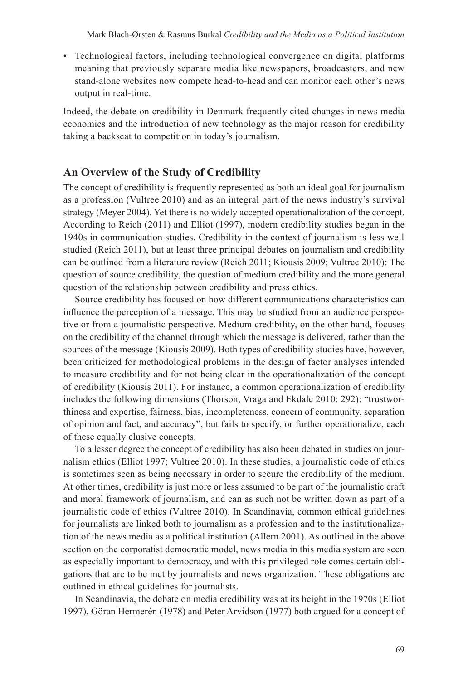• Technological factors, including technological convergence on digital platforms meaning that previously separate media like newspapers, broadcasters, and new stand-alone websites now compete head-to-head and can monitor each other's news output in real-time.

Indeed, the debate on credibility in Denmark frequently cited changes in news media economics and the introduction of new technology as the major reason for credibility taking a backseat to competition in today's journalism.

## **An Overview of the Study of Credibility**

The concept of credibility is frequently represented as both an ideal goal for journalism as a profession (Vultree 2010) and as an integral part of the news industry's survival strategy (Meyer 2004). Yet there is no widely accepted operationalization of the concept. According to Reich (2011) and Elliot (1997), modern credibility studies began in the 1940s in communication studies. Credibility in the context of journalism is less well studied (Reich 2011), but at least three principal debates on journalism and credibility can be outlined from a literature review (Reich 2011; Kiousis 2009; Vultree 2010): The question of source credibility, the question of medium credibility and the more general question of the relationship between credibility and press ethics.

Source credibility has focused on how different communications characteristics can influence the perception of a message. This may be studied from an audience perspective or from a journalistic perspective. Medium credibility, on the other hand, focuses on the credibility of the channel through which the message is delivered, rather than the sources of the message (Kiousis 2009). Both types of credibility studies have, however, been criticized for methodological problems in the design of factor analyses intended to measure credibility and for not being clear in the operationalization of the concept of credibility (Kiousis 2011). For instance, a common operationalization of credibility includes the following dimensions (Thorson, Vraga and Ekdale 2010: 292): "trustworthiness and expertise, fairness, bias, incompleteness, concern of community, separation of opinion and fact, and accuracy", but fails to specify, or further operationalize, each of these equally elusive concepts.

To a lesser degree the concept of credibility has also been debated in studies on journalism ethics (Elliot 1997; Vultree 2010). In these studies, a journalistic code of ethics is sometimes seen as being necessary in order to secure the credibility of the medium. At other times, credibility is just more or less assumed to be part of the journalistic craft and moral framework of journalism, and can as such not be written down as part of a journalistic code of ethics (Vultree 2010). In Scandinavia, common ethical guidelines for journalists are linked both to journalism as a profession and to the institutionalization of the news media as a political institution (Allern 2001). As outlined in the above section on the corporatist democratic model, news media in this media system are seen as especially important to democracy, and with this privileged role comes certain obligations that are to be met by journalists and news organization. These obligations are outlined in ethical guidelines for journalists.

In Scandinavia, the debate on media credibility was at its height in the 1970s (Elliot 1997). Göran Hermerén (1978) and Peter Arvidson (1977) both argued for a concept of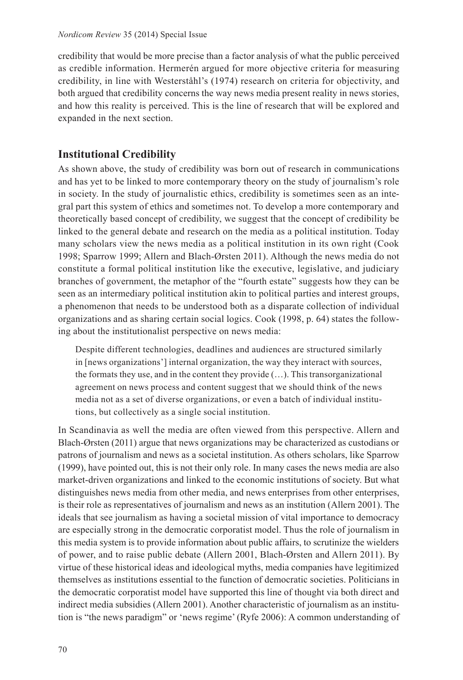credibility that would be more precise than a factor analysis of what the public perceived as credible information. Hermerén argued for more objective criteria for measuring credibility, in line with Westerståhl's (1974) research on criteria for objectivity, and both argued that credibility concerns the way news media present reality in news stories, and how this reality is perceived. This is the line of research that will be explored and expanded in the next section.

# **Institutional Credibility**

As shown above, the study of credibility was born out of research in communications and has yet to be linked to more contemporary theory on the study of journalism's role in society. In the study of journalistic ethics, credibility is sometimes seen as an integral part this system of ethics and sometimes not. To develop a more contemporary and theoretically based concept of credibility, we suggest that the concept of credibility be linked to the general debate and research on the media as a political institution. Today many scholars view the news media as a political institution in its own right (Cook 1998; Sparrow 1999; Allern and Blach-Ørsten 2011). Although the news media do not constitute a formal political institution like the executive, legislative, and judiciary branches of government, the metaphor of the "fourth estate" suggests how they can be seen as an intermediary political institution akin to political parties and interest groups, a phenomenon that needs to be understood both as a disparate collection of individual organizations and as sharing certain social logics. Cook (1998, p. 64) states the following about the institutionalist perspective on news media:

Despite different technologies, deadlines and audiences are structured similarly in [news organizations'] internal organization, the way they interact with sources, the formats they use, and in the content they provide (…). This transorganizational agreement on news process and content suggest that we should think of the news media not as a set of diverse organizations, or even a batch of individual institutions, but collectively as a single social institution.

In Scandinavia as well the media are often viewed from this perspective. Allern and Blach-Ørsten (2011) argue that news organizations may be characterized as custodians or patrons of journalism and news as a societal institution. As others scholars, like Sparrow (1999), have pointed out, this is not their only role. In many cases the news media are also market-driven organizations and linked to the economic institutions of society. But what distinguishes news media from other media, and news enterprises from other enterprises, is their role as representatives of journalism and news as an institution (Allern 2001). The ideals that see journalism as having a societal mission of vital importance to democracy are especially strong in the democratic corporatist model. Thus the role of journalism in this media system is to provide information about public affairs, to scrutinize the wielders of power, and to raise public debate (Allern 2001, Blach-Ørsten and Allern 2011). By virtue of these historical ideas and ideological myths, media companies have legitimized themselves as institutions essential to the function of democratic societies. Politicians in the democratic corporatist model have supported this line of thought via both direct and indirect media subsidies (Allern 2001). Another characteristic of journalism as an institution is "the news paradigm" or 'news regime' (Ryfe 2006): A common understanding of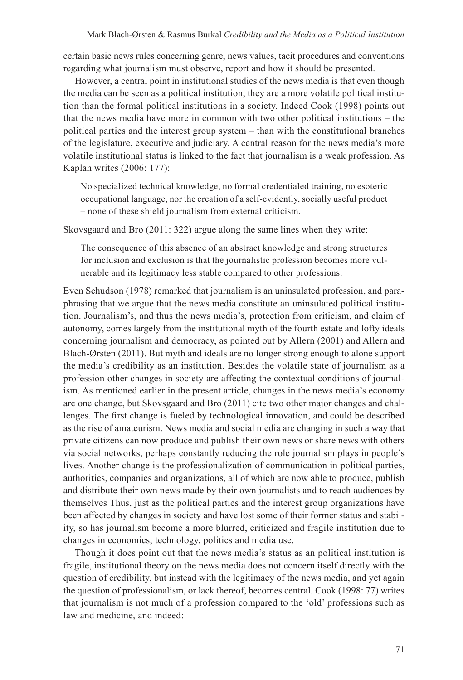certain basic news rules concerning genre, news values, tacit procedures and conventions regarding what journalism must observe, report and how it should be presented.

However, a central point in institutional studies of the news media is that even though the media can be seen as a political institution, they are a more volatile political institution than the formal political institutions in a society. Indeed Cook (1998) points out that the news media have more in common with two other political institutions – the political parties and the interest group system – than with the constitutional branches of the legislature, executive and judiciary. A central reason for the news media's more volatile institutional status is linked to the fact that journalism is a weak profession. As Kaplan writes (2006: 177):

No specialized technical knowledge, no formal credentialed training, no esoteric occupational language, nor the creation of a self-evidently, socially useful product – none of these shield journalism from external criticism.

Skovsgaard and Bro (2011: 322) argue along the same lines when they write:

The consequence of this absence of an abstract knowledge and strong structures for inclusion and exclusion is that the journalistic profession becomes more vulnerable and its legitimacy less stable compared to other professions.

Even Schudson (1978) remarked that journalism is an uninsulated profession, and paraphrasing that we argue that the news media constitute an uninsulated political institution. Journalism's, and thus the news media's, protection from criticism, and claim of autonomy, comes largely from the institutional myth of the fourth estate and lofty ideals concerning journalism and democracy, as pointed out by Allern (2001) and Allern and Blach-Ørsten (2011). But myth and ideals are no longer strong enough to alone support the media's credibility as an institution. Besides the volatile state of journalism as a profession other changes in society are affecting the contextual conditions of journalism. As mentioned earlier in the present article, changes in the news media's economy are one change, but Skovsgaard and Bro (2011) cite two other major changes and challenges. The first change is fueled by technological innovation, and could be described as the rise of amateurism. News media and social media are changing in such a way that private citizens can now produce and publish their own news or share news with others via social networks, perhaps constantly reducing the role journalism plays in people's lives. Another change is the professionalization of communication in political parties, authorities, companies and organizations, all of which are now able to produce, publish and distribute their own news made by their own journalists and to reach audiences by themselves Thus, just as the political parties and the interest group organizations have been affected by changes in society and have lost some of their former status and stability, so has journalism become a more blurred, criticized and fragile institution due to changes in economics, technology, politics and media use.

Though it does point out that the news media's status as an political institution is fragile, institutional theory on the news media does not concern itself directly with the question of credibility, but instead with the legitimacy of the news media, and yet again the question of professionalism, or lack thereof, becomes central. Cook (1998: 77) writes that journalism is not much of a profession compared to the 'old' professions such as law and medicine, and indeed: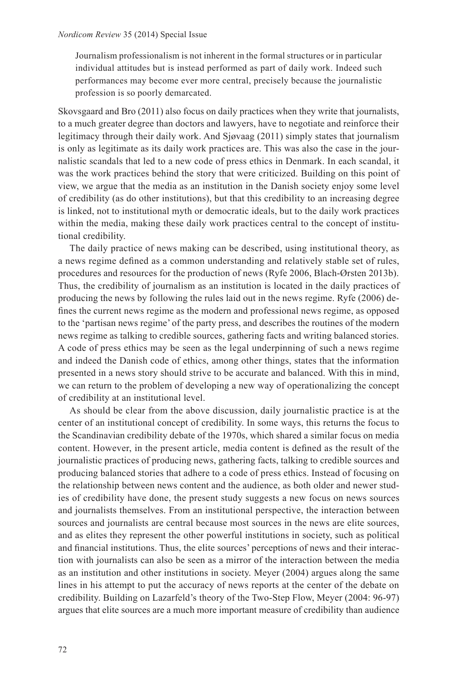Journalism professionalism is not inherent in the formal structures or in particular individual attitudes but is instead performed as part of daily work. Indeed such performances may become ever more central, precisely because the journalistic profession is so poorly demarcated.

Skovsgaard and Bro (2011) also focus on daily practices when they write that journalists, to a much greater degree than doctors and lawyers, have to negotiate and reinforce their legitimacy through their daily work. And Sjøvaag (2011) simply states that journalism is only as legitimate as its daily work practices are. This was also the case in the journalistic scandals that led to a new code of press ethics in Denmark. In each scandal, it was the work practices behind the story that were criticized. Building on this point of view, we argue that the media as an institution in the Danish society enjoy some level of credibility (as do other institutions), but that this credibility to an increasing degree is linked, not to institutional myth or democratic ideals, but to the daily work practices within the media, making these daily work practices central to the concept of institutional credibility.

The daily practice of news making can be described, using institutional theory, as a news regime defined as a common understanding and relatively stable set of rules, procedures and resources for the production of news (Ryfe 2006, Blach-Ørsten 2013b). Thus, the credibility of journalism as an institution is located in the daily practices of producing the news by following the rules laid out in the news regime. Ryfe (2006) defines the current news regime as the modern and professional news regime, as opposed to the 'partisan news regime' of the party press, and describes the routines of the modern news regime as talking to credible sources, gathering facts and writing balanced stories. A code of press ethics may be seen as the legal underpinning of such a news regime and indeed the Danish code of ethics, among other things, states that the information presented in a news story should strive to be accurate and balanced. With this in mind, we can return to the problem of developing a new way of operationalizing the concept of credibility at an institutional level.

As should be clear from the above discussion, daily journalistic practice is at the center of an institutional concept of credibility. In some ways, this returns the focus to the Scandinavian credibility debate of the 1970s, which shared a similar focus on media content. However, in the present article, media content is defined as the result of the journalistic practices of producing news, gathering facts, talking to credible sources and producing balanced stories that adhere to a code of press ethics. Instead of focusing on the relationship between news content and the audience, as both older and newer studies of credibility have done, the present study suggests a new focus on news sources and journalists themselves. From an institutional perspective, the interaction between sources and journalists are central because most sources in the news are elite sources, and as elites they represent the other powerful institutions in society, such as political and financial institutions. Thus, the elite sources' perceptions of news and their interaction with journalists can also be seen as a mirror of the interaction between the media as an institution and other institutions in society. Meyer (2004) argues along the same lines in his attempt to put the accuracy of news reports at the center of the debate on credibility. Building on Lazarfeld's theory of the Two-Step Flow, Meyer (2004: 96-97) argues that elite sources are a much more important measure of credibility than audience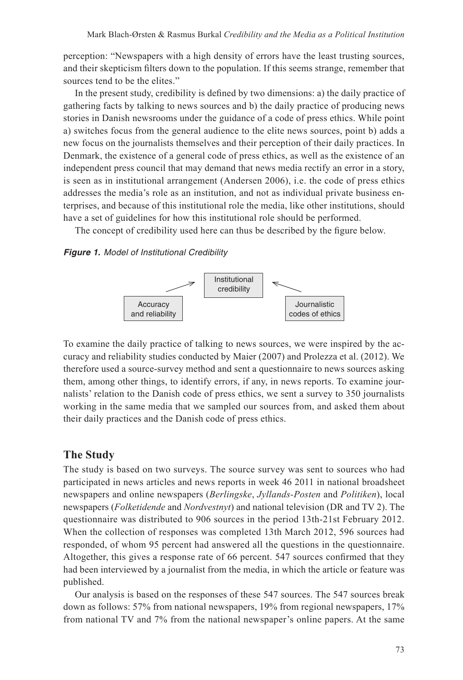perception: "Newspapers with a high density of errors have the least trusting sources, and their skepticism filters down to the population. If this seems strange, remember that sources tend to be the elites."

In the present study, credibility is defined by two dimensions: a) the daily practice of gathering facts by talking to news sources and b) the daily practice of producing news stories in Danish newsrooms under the guidance of a code of press ethics. While point a) switches focus from the general audience to the elite news sources, point b) adds a new focus on the journalists themselves and their perception of their daily practices. In Denmark, the existence of a general code of press ethics, as well as the existence of an independent press council that may demand that news media rectify an error in a story, is seen as in institutional arrangement (Andersen 2006), i.e. the code of press ethics addresses the media's role as an institution, and not as individual private business enterprises, and because of this institutional role the media, like other institutions, should have a set of guidelines for how this institutional role should be performed.

The concept of credibility used here can thus be described by the figure below.

## *Figure 1. Model of Institutional Credibility*



To examine the daily practice of talking to news sources, we were inspired by the accuracy and reliability studies conducted by Maier (2007) and Prolezza et al. (2012). We therefore used a source-survey method and sent a questionnaire to news sources asking them, among other things, to identify errors, if any, in news reports. To examine journalists' relation to the Danish code of press ethics, we sent a survey to 350 journalists working in the same media that we sampled our sources from, and asked them about their daily practices and the Danish code of press ethics.

## **The Study**

The study is based on two surveys. The source survey was sent to sources who had participated in news articles and news reports in week 46 2011 in national broadsheet newspapers and online newspapers (*Berlingske*, *Jyllands-Posten* and *Politiken*), local newspapers (*Folketidende* and *Nordvestnyt*) and national television (DR and TV 2). The questionnaire was distributed to 906 sources in the period 13th-21st February 2012. When the collection of responses was completed 13th March 2012, 596 sources had responded, of whom 95 percent had answered all the questions in the questionnaire. Altogether, this gives a response rate of 66 percent. 547 sources confirmed that they had been interviewed by a journalist from the media, in which the article or feature was published.

Our analysis is based on the responses of these 547 sources. The 547 sources break down as follows: 57% from national newspapers, 19% from regional newspapers, 17% from national TV and 7% from the national newspaper's online papers. At the same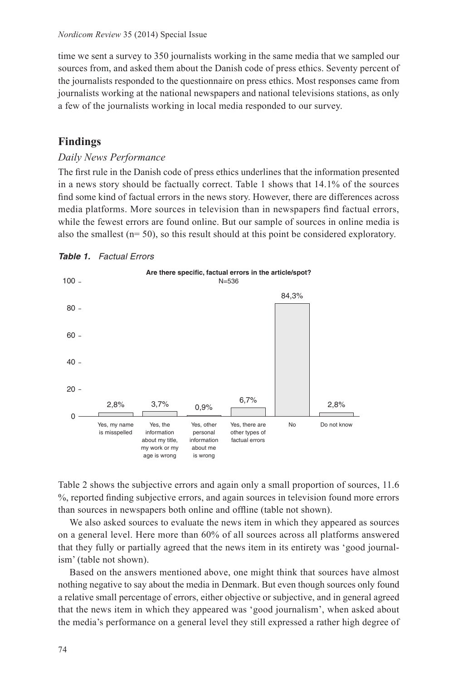time we sent a survey to 350 journalists working in the same media that we sampled our sources from, and asked them about the Danish code of press ethics. Seventy percent of the journalists responded to the questionnaire on press ethics. Most responses came from journalists working at the national newspapers and national televisions stations, as only a few of the journalists working in local media responded to our survey.

# **Findings**

## *Daily News Performance*

The first rule in the Danish code of press ethics underlines that the information presented in a news story should be factually correct. Table 1 shows that 14.1% of the sources find some kind of factual errors in the news story. However, there are differences across media platforms. More sources in television than in newspapers find factual errors, while the fewest errors are found online. But our sample of sources in online media is also the smallest  $(n= 50)$ , so this result should at this point be considered exploratory.



## *Table 1. Factual Errors*

Table 2 shows the subjective errors and again only a small proportion of sources, 11.6 %, reported finding subjective errors, and again sources in television found more errors than sources in newspapers both online and offline (table not shown).

We also asked sources to evaluate the news item in which they appeared as sources on a general level. Here more than 60% of all sources across all platforms answered that they fully or partially agreed that the news item in its entirety was 'good journalism' (table not shown).

Based on the answers mentioned above, one might think that sources have almost nothing negative to say about the media in Denmark. But even though sources only found a relative small percentage of errors, either objective or subjective, and in general agreed that the news item in which they appeared was 'good journalism', when asked about the media's performance on a general level they still expressed a rather high degree of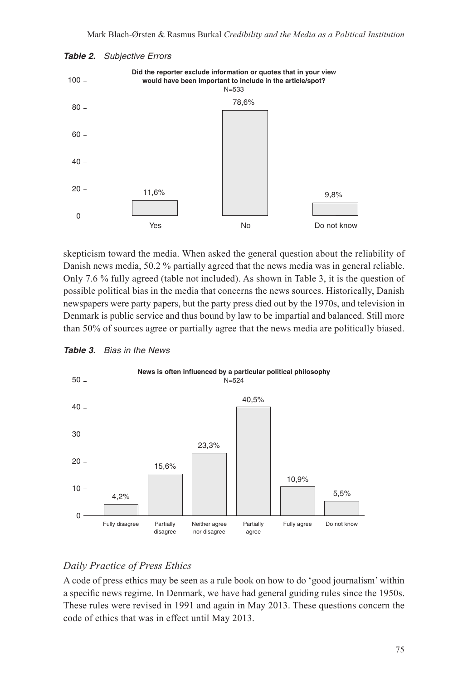



skepticism toward the media. When asked the general question about the reliability of Danish news media, 50.2 % partially agreed that the news media was in general reliable. Only 7.6 % fully agreed (table not included). As shown in Table 3, it is the question of possible political bias in the media that concerns the news sources. Historically, Danish newspapers were party papers, but the party press died out by the 1970s, and television in Denmark is public service and thus bound by law to be impartial and balanced. Still more than 50% of sources agree or partially agree that the news media are politically biased.



### *Table 3. Bias in the News*

# *Daily Practice of Press Ethics*

A code of press ethics may be seen as a rule book on how to do 'good journalism' within a specific news regime. In Denmark, we have had general guiding rules since the 1950s. These rules were revised in 1991 and again in May 2013. These questions concern the code of ethics that was in effect until May 2013.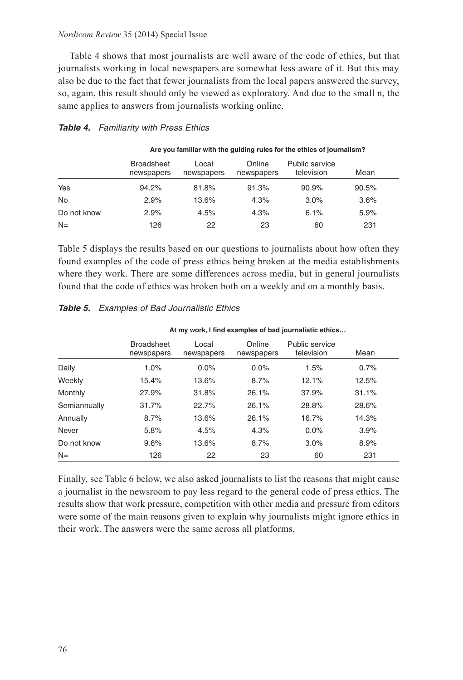### *Nordicom Review* 35 (2014) Special Issue

Table 4 shows that most journalists are well aware of the code of ethics, but that journalists working in local newspapers are somewhat less aware of it. But this may also be due to the fact that fewer journalists from the local papers answered the survey, so, again, this result should only be viewed as exploratory. And due to the small n, the same applies to answers from journalists working online.

## *Table 4. Familiarity with Press Ethics*

|             | <b>Broadsheet</b><br>newspapers | Local<br>newspapers | Online<br>newspapers | Public service<br>television | Mean  |
|-------------|---------------------------------|---------------------|----------------------|------------------------------|-------|
| Yes         | 94.2%                           | 81.8%               | 91.3%                | 90.9%                        | 90.5% |
| <b>No</b>   | 2.9%                            | 13.6%               | 4.3%                 | $3.0\%$                      | 3.6%  |
| Do not know | 2.9%                            | 4.5%                | 4.3%                 | 6.1%                         | 5.9%  |
| $N =$       | 126                             | 22                  | 23                   | 60                           | 231   |

**Are you familiar with the guiding rules for the ethics of journalism?**

Table 5 displays the results based on our questions to journalists about how often they found examples of the code of press ethics being broken at the media establishments where they work. There are some differences across media, but in general journalists found that the code of ethics was broken both on a weekly and on a monthly basis.

|              | At my work, I find examples of bad journalistic ethics |                     |                      |                              |       |  |  |
|--------------|--------------------------------------------------------|---------------------|----------------------|------------------------------|-------|--|--|
|              | <b>Broadsheet</b><br>newspapers                        | Local<br>newspapers | Online<br>newspapers | Public service<br>television | Mean  |  |  |
| Daily        | 1.0%                                                   | $0.0\%$             | 0.0%                 | 1.5%                         | 0.7%  |  |  |
| Weekly       | 15.4%                                                  | 13.6%               | 8.7%                 | 12.1%                        | 12.5% |  |  |
| Monthly      | 27.9%                                                  | 31.8%               | 26.1%                | 37.9%                        | 31.1% |  |  |
| Semiannually | 31.7%                                                  | 22.7%               | 26.1%                | 28.8%                        | 28.6% |  |  |
| Annually     | 8.7%                                                   | 13.6%               | 26.1%                | 16.7%                        | 14.3% |  |  |
| Never        | 5.8%                                                   | 4.5%                | 4.3%                 | $0.0\%$                      | 3.9%  |  |  |
| Do not know  | 9.6%                                                   | 13.6%               | 8.7%                 | 3.0%                         | 8.9%  |  |  |
| $N =$        | 126                                                    | 22                  | 23                   | 60                           | 231   |  |  |

## *Table 5. Examples of Bad Journalistic Ethics*

Finally, see Table 6 below, we also asked journalists to list the reasons that might cause a journalist in the newsroom to pay less regard to the general code of press ethics. The results show that work pressure, competition with other media and pressure from editors were some of the main reasons given to explain why journalists might ignore ethics in their work. The answers were the same across all platforms.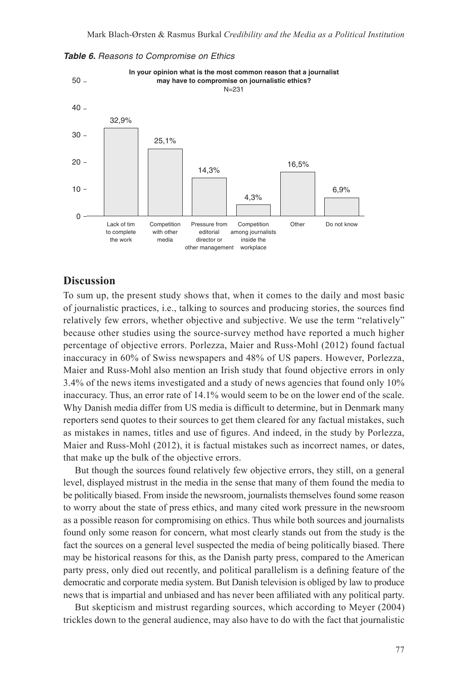

*Table 6. Reasons to Compromise on Ethics*

## **Discussion**

To sum up, the present study shows that, when it comes to the daily and most basic of journalistic practices, i.e., talking to sources and producing stories, the sources find relatively few errors, whether objective and subjective. We use the term "relatively" because other studies using the source-survey method have reported a much higher percentage of objective errors. Porlezza, Maier and Russ-Mohl (2012) found factual inaccuracy in 60% of Swiss newspapers and 48% of US papers. However, Porlezza, Maier and Russ-Mohl also mention an Irish study that found objective errors in only 3.4% of the news items investigated and a study of news agencies that found only 10% inaccuracy. Thus, an error rate of 14.1% would seem to be on the lower end of the scale. Why Danish media differ from US media is difficult to determine, but in Denmark many reporters send quotes to their sources to get them cleared for any factual mistakes, such as mistakes in names, titles and use of figures. And indeed, in the study by Porlezza, Maier and Russ-Mohl (2012), it is factual mistakes such as incorrect names, or dates, that make up the bulk of the objective errors.

But though the sources found relatively few objective errors, they still, on a general level, displayed mistrust in the media in the sense that many of them found the media to be politically biased. From inside the newsroom, journalists themselves found some reason to worry about the state of press ethics, and many cited work pressure in the newsroom as a possible reason for compromising on ethics. Thus while both sources and journalists found only some reason for concern, what most clearly stands out from the study is the fact the sources on a general level suspected the media of being politically biased. There may be historical reasons for this, as the Danish party press, compared to the American party press, only died out recently, and political parallelism is a defining feature of the democratic and corporate media system. But Danish television is obliged by law to produce news that is impartial and unbiased and has never been affiliated with any political party.

But skepticism and mistrust regarding sources, which according to Meyer (2004) trickles down to the general audience, may also have to do with the fact that journalistic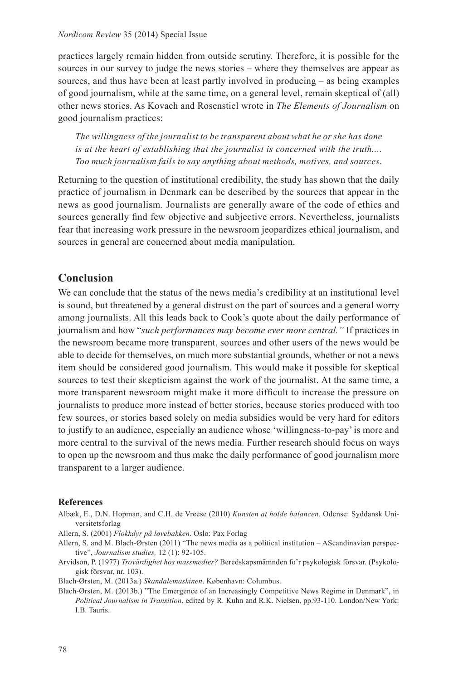#### *Nordicom Review* 35 (2014) Special Issue

practices largely remain hidden from outside scrutiny. Therefore, it is possible for the sources in our survey to judge the news stories – where they themselves are appear as sources, and thus have been at least partly involved in producing – as being examples of good journalism, while at the same time, on a general level, remain skeptical of (all) other news stories. As Kovach and Rosenstiel wrote in *The Elements of Journalism* on good journalism practices:

*The willingness of the journalist to be transparent about what he or she has done is at the heart of establishing that the journalist is concerned with the truth.... Too much journalism fails to say anything about methods, motives, and sources*.

Returning to the question of institutional credibility, the study has shown that the daily practice of journalism in Denmark can be described by the sources that appear in the news as good journalism. Journalists are generally aware of the code of ethics and sources generally find few objective and subjective errors. Nevertheless, journalists fear that increasing work pressure in the newsroom jeopardizes ethical journalism, and sources in general are concerned about media manipulation.

# **Conclusion**

We can conclude that the status of the news media's credibility at an institutional level is sound, but threatened by a general distrust on the part of sources and a general worry among journalists. All this leads back to Cook's quote about the daily performance of journalism and how "*such performances may become ever more central."* If practices in the newsroom became more transparent, sources and other users of the news would be able to decide for themselves, on much more substantial grounds, whether or not a news item should be considered good journalism. This would make it possible for skeptical sources to test their skepticism against the work of the journalist. At the same time, a more transparent newsroom might make it more difficult to increase the pressure on journalists to produce more instead of better stories, because stories produced with too few sources, or stories based solely on media subsidies would be very hard for editors to justify to an audience, especially an audience whose 'willingness-to-pay' is more and more central to the survival of the news media. Further research should focus on ways to open up the newsroom and thus make the daily performance of good journalism more transparent to a larger audience.

## **References**

- Albæk, E., D.N. Hopman, and C.H. de Vreese (2010) *Kunsten at holde balancen.* Odense: Syddansk Universitetsforlag
- Allern, S. (2001) *Flokkdyr på løvebakken*. Oslo: Pax Forlag
- Allern, S. and M. Blach-Ørsten (2011) "The news media as a political institution AScandinavian perspective", *Journalism studies,* 12 (1): 92-105.
- Arvidson, P. (1977) *Trovärdighet hos massmedier?* Beredskapsmämnden fo¨r psykologisk försvar. (Psykologisk försvar, nr. 103).

Blach-Ørsten, M. (2013a.) *Skandalemaskinen*. København: Columbus.

Blach-Ørsten, M. (2013b.) "The Emergence of an Increasingly Competitive News Regime in Denmark", in *Political Journalism in Transition*, edited by R. Kuhn and R.K. Nielsen, pp.93-110. London/New York: I.B. Tauris.